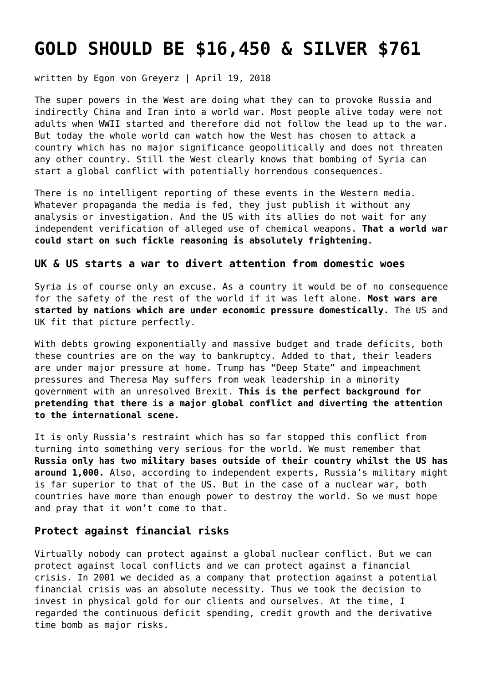# **[GOLD SHOULD BE \\$16,450 & SILVER \\$761](https://goldswitzerland.com/gold-should-be-16450-silver-761/)**

written by Egon von Greyerz | April 19, 2018

The super powers in the West are doing what they can to provoke Russia and indirectly China and Iran into a world war. Most people alive today were not adults when WWII started and therefore did not follow the lead up to the war. But today the whole world can watch how the West has chosen to attack a country which has no major significance geopolitically and does not threaten any other country. Still the West clearly knows that bombing of Syria can start a global conflict with potentially horrendous consequences.

There is no intelligent reporting of these events in the Western media. Whatever propaganda the media is fed, they just publish it without any analysis or investigation. And the US with its allies do not wait for any independent verification of alleged use of chemical weapons. **That a world war could start on such fickle reasoning is absolutely frightening.**

## **UK & US starts a war to divert attention from domestic woes**

Syria is of course only an excuse. As a country it would be of no consequence for the safety of the rest of the world if it was left alone. **Most wars are started by nations which are under economic pressure domestically.** The US and UK fit that picture perfectly.

With debts growing exponentially and massive budget and trade deficits, both these countries are on the way to bankruptcy. Added to that, their leaders are under major pressure at home. Trump has "Deep State" and impeachment pressures and Theresa May suffers from weak leadership in a minority government with an unresolved Brexit. **This is the perfect background for pretending that there is a major global conflict and diverting the attention to the international scene.**

It is only Russia's restraint which has so far stopped this conflict from turning into something very serious for the world. We must remember that **Russia only has two military bases outside of their country whilst the US has around 1,000.** Also, according to independent experts, Russia's military might is far superior to that of the US. But in the case of a nuclear war, both countries have more than enough power to destroy the world. So we must hope and pray that it won't come to that.

## **Protect against financial risks**

Virtually nobody can protect against a global nuclear conflict. But we can protect against local conflicts and we can protect against a financial crisis. In 2001 we decided as a company that protection against a potential financial crisis was an absolute necessity. Thus we took the decision to invest in physical gold for our clients and ourselves. At the time, I regarded the continuous deficit spending, credit growth and the derivative time bomb as major risks.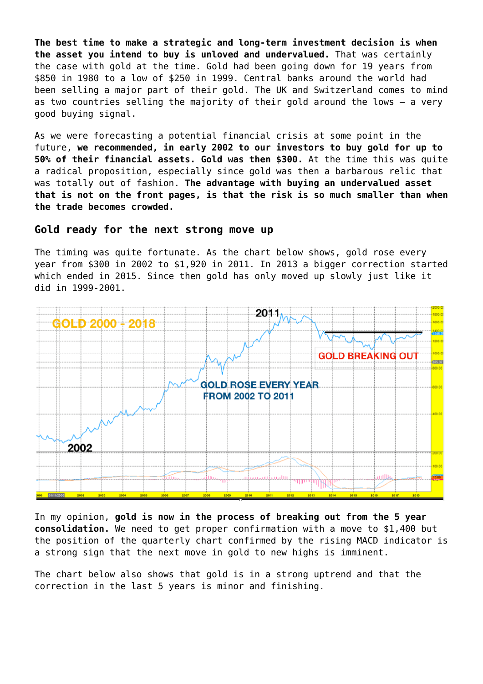**The best time to make a strategic and long-term investment decision is when the asset you intend to buy is unloved and undervalued.** That was certainly the case with gold at the time. Gold had been going down for 19 years from \$850 in 1980 to a low of \$250 in 1999. Central banks around the world had been selling a major part of their gold. The UK and Switzerland comes to mind as two countries selling the majority of their gold around the lows – a very good buying signal.

As we were forecasting a potential financial crisis at some point in the future, **we recommended, in early 2002 to our investors to buy gold for up to 50% of their financial assets. Gold was then \$300.** At the time this was quite a radical proposition, especially since gold was then a barbarous relic that was totally out of fashion. **The advantage with buying an undervalued asset that is not on the front pages, is that the risk is so much smaller than when the trade becomes crowded.**

### **Gold ready for the next strong move up**

The timing was quite fortunate. As the chart below shows, gold rose every year from \$300 in 2002 to \$1,920 in 2011. In 2013 a bigger correction started which ended in 2015. Since then gold has only moved up slowly just like it did in 1999-2001.



In my opinion, **gold is now in the process of breaking out from the 5 year consolidation.** We need to get proper confirmation with a move to \$1,400 but the position of the quarterly chart confirmed by the rising MACD indicator is a strong sign that the next move in gold to new highs is imminent.

The chart below also shows that gold is in a strong uptrend and that the correction in the last 5 years is minor and finishing.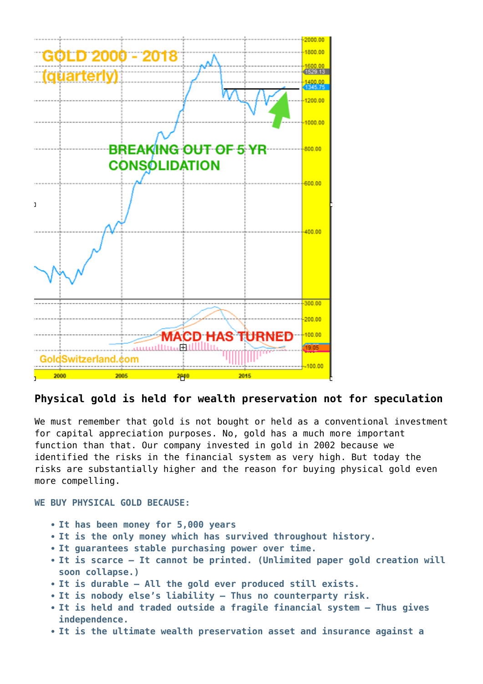

# **Physical gold is held for wealth preservation not for speculation**

We must remember that gold is not bought or held as a conventional investment for capital appreciation purposes. No, gold has a much more important function than that. Our company invested in gold in 2002 because we identified the risks in the financial system as very high. But today the risks are substantially higher and the reason for buying physical gold even more compelling.

**WE BUY PHYSICAL GOLD BECAUSE:**

- **It has been money for 5,000 years**
- **It is the only money which has survived throughout history.**
- **It guarantees stable purchasing power over time.**
- **It is scarce It cannot be printed. (Unlimited paper gold creation will soon collapse.)**
- **It is durable All the gold ever produced still exists.**
- **It is nobody else's liability Thus no counterparty risk.**
- **It is held and traded outside a fragile financial system Thus gives independence.**
- **It is the ultimate wealth preservation asset and insurance against a**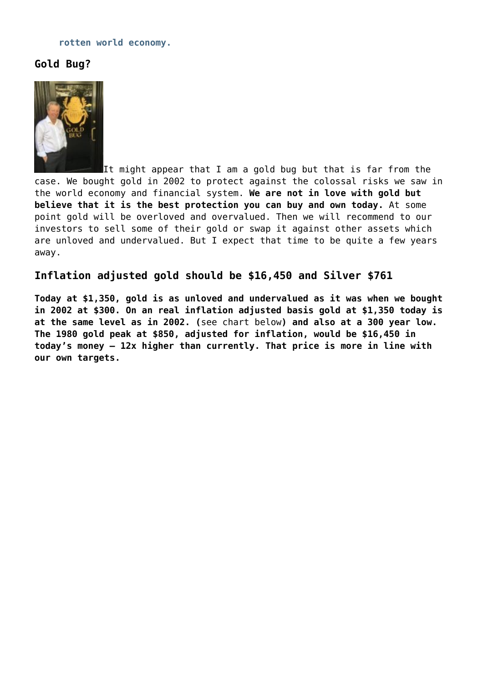#### **rotten world economy.**

# **Gold Bug?**



It might appear that I am a gold bug but that is far from the case. We bought gold in 2002 to protect against the colossal risks we saw in the world economy and financial system. **We are not in love with gold but believe that it is the best protection you can buy and own today.** At some point gold will be overloved and overvalued. Then we will recommend to our investors to sell some of their gold or swap it against other assets which are unloved and undervalued. But I expect that time to be quite a few years away.

## **Inflation adjusted gold should be \$16,450 and Silver \$761**

**Today at \$1,350, gold is as unloved and undervalued as it was when we bought in 2002 at \$300. On an real inflation adjusted basis gold at \$1,350 today is at the same level as in 2002. (**see chart below**) and also at a 300 year low. The 1980 gold peak at \$850, adjusted for inflation, would be \$16,450 in today's money – 12x higher than currently. That price is more in line with our own targets.**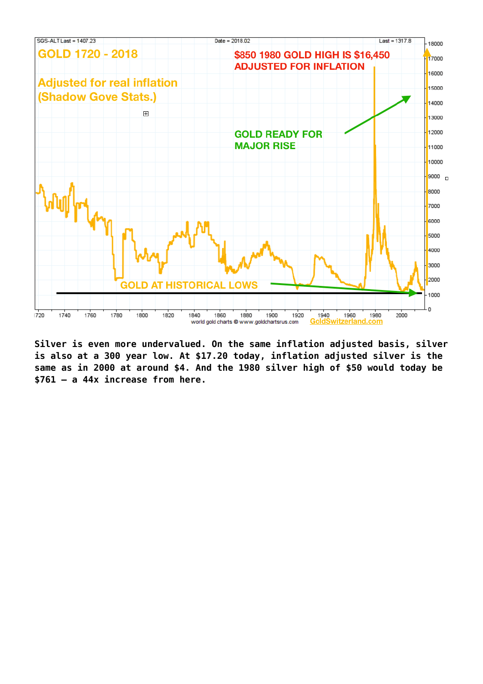

**Silver is even more undervalued. On the same inflation adjusted basis, silver is also at a 300 year low. At \$17.20 today, inflation adjusted silver is the same as in 2000 at around \$4. And the 1980 silver high of \$50 would today be \$761 – a 44x increase from here.**